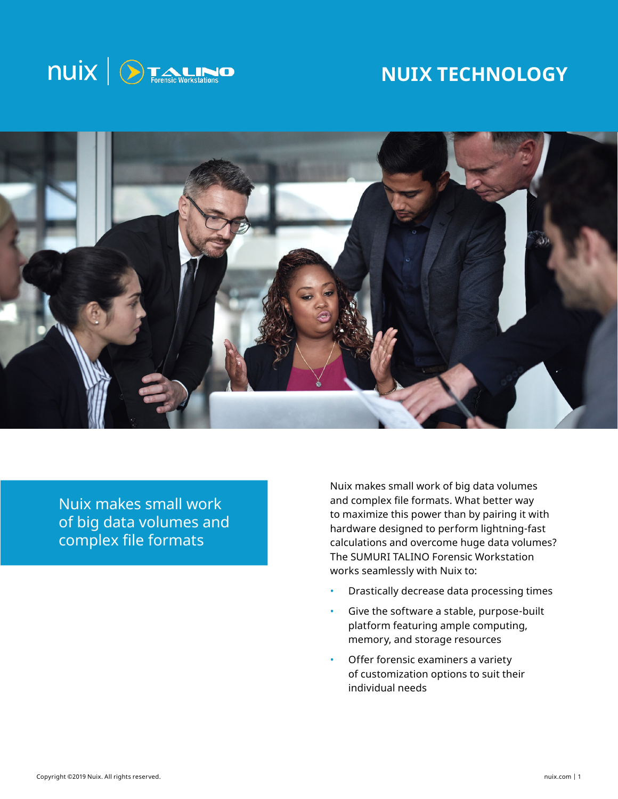

# **NUIX TECHNOLOGY**



Nuix makes small work of big data volumes and complex file formats

Nuix makes small work of big data volumes and complex file formats. What better way to maximize this power than by pairing it with hardware designed to perform lightning-fast calculations and overcome huge data volumes? The SUMURI TALINO Forensic Workstation works seamlessly with Nuix to:

- Drastically decrease data processing times
- Give the software a stable, purpose-built platform featuring ample computing, memory, and storage resources
- Offer forensic examiners a variety of customization options to suit their individual needs